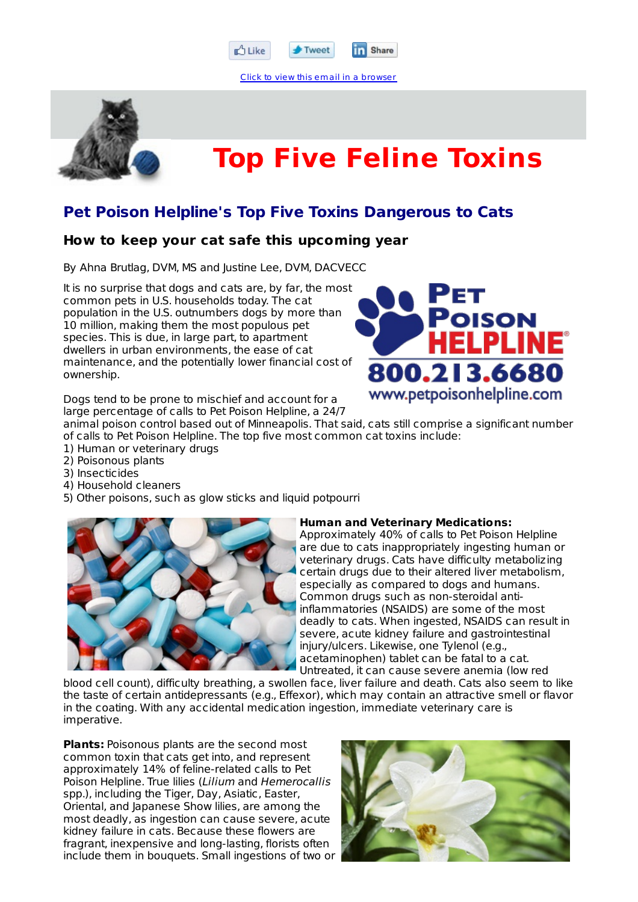

**Tr** Share

Click to view this email in a browser



# **Top Five Feline Toxins**

### **Pet Poison Helpline's Top Five Toxins Dangerous to Cats**

#### **How to keep your cat safe this upcoming year**

By Ahna Brutlag, DVM, MS and Justine Lee, DVM, DACVECC

It is no surprise that dogs and cats are, by far, the most common pets in U.S. households today. The cat population in the U.S. outnumbers dogs by more than 10 million, making them the most populous pet species. This is due, in large part, to apartment dwellers in urban environments, the ease of cat maintenance, and the potentially lower financial cost of ownership.



Dogs tend to be prone to mischief and account for a large percentage of calls to Pet Poison Helpline, a 24/7

animal poison control based out of Minneapolis. That said, cats still comprise a significant number of calls to Pet Poison Helpline. The top five most common cat toxins include:

- 1) Human or veterinary drugs
- 2) Poisonous plants
- 3) Insecticides
- 4) Household cleaners
- 5) Other poisons, such as glow sticks and liquid potpourri



#### **Human and Veterinary Medications:**

Approximately 40% of calls to Pet Poison Helpline are due to cats inappropriately ingesting human or veterinary drugs. Cats have difficulty metabolizing certain drugs due to their altered liver metabolism, especially as compared to dogs and humans. Common drugs such as non-steroidal antiinflammatories (NSAIDS) are some of the most deadly to cats. When ingested, NSAIDS can result in severe, acute kidney failure and gastrointestinal injury/ulcers. Likewise, one Tylenol (e.g., acetaminophen) tablet can be fatal to a cat. Untreated, it can cause severe anemia (low red

blood cell count), difficulty breathing, a swollen face, liver failure and death. Cats also seem to like the taste of certain antidepressants (e.g., Effexor), which may contain an attractive smell or flavor in the coating. With any accidental medication ingestion, immediate veterinary care is imperative.

**Plants:** Poisonous plants are the second most common toxin that cats get into, and represent approximately 14% of feline-related calls to Pet Poison Helpline. True lilies (Lilium and Hemerocallis spp.), including the Tiger, Day, Asiatic, Easter, Oriental, and Japanese Show lilies, are among the most deadly, as ingestion can cause severe, acute kidney failure in cats. Because these flowers are fragrant, inexpensive and long-lasting, florists often include them in bouquets. Small ingestions of two or

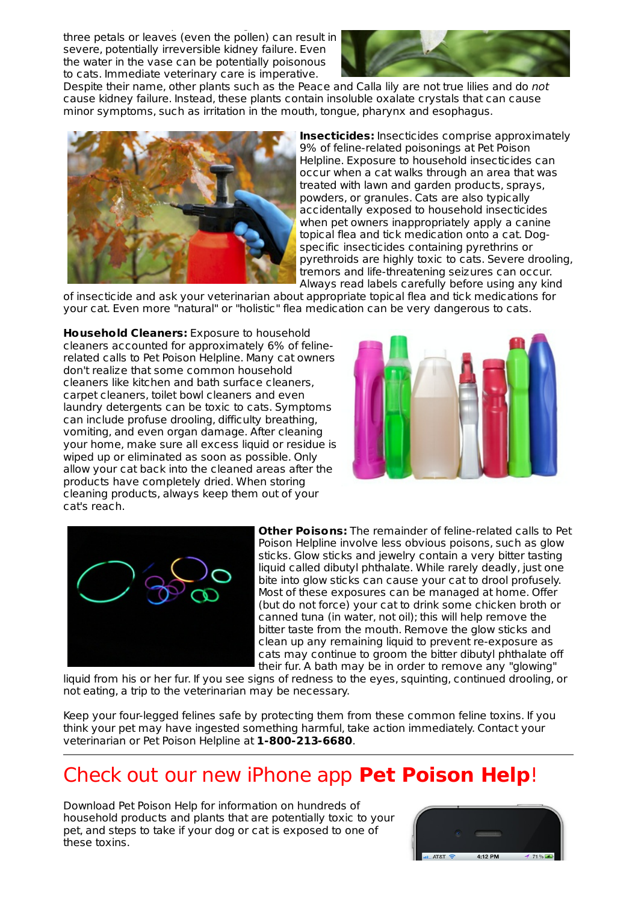include them in bouquets. Small ingestions of two or three petals or leaves (even the pollen) can result in severe, potentially irreversible kidney failure. Even the water in the vase can be potentially poisonous to cats. Immediate veterinary care is imperative.



Despite their name, other plants such as the Peace and Calla lily are not true lilies and do not cause kidney failure. Instead, these plants contain insoluble oxalate crystals that can cause minor symptoms, such as irritation in the mouth, tongue, pharynx and esophagus.



**Insecticides:** Insecticides comprise approximately 9% of feline-related poisonings at Pet Poison Helpline. Exposure to household insecticides can occur when a cat walks through an area that was treated with lawn and garden products, sprays, powders, or granules. Cats are also typically accidentally exposed to household insecticides when pet owners inappropriately apply a canine topical flea and tick medication onto a cat. Dogspecific insecticides containing pyrethrins or pyrethroids are highly toxic to cats. Severe drooling, tremors and life-threatening seizures can occur. Always read labels carefully before using any kind

of insecticide and ask your veterinarian about appropriate topical flea and tick medications for your cat. Even more "natural" or "holistic" flea medication can be very dangerous to cats.

**Household Cleaners:** Exposure to household cleaners accounted for approximately 6% of felinerelated calls to Pet Poison Helpline. Many cat owners don't realize that some common household cleaners like kitchen and bath surface cleaners, carpet cleaners, toilet bowl cleaners and even laundry detergents can be toxic to cats. Symptoms can include profuse drooling, difficulty breathing, vomiting, and even organ damage. After cleaning your home, make sure all excess liquid or residue is wiped up or eliminated as soon as possible. Only allow your cat back into the cleaned areas after the products have completely dried. When storing cleaning products, always keep them out of your cat's reach.





**Other Poisons:** The remainder of feline-related calls to Pet Poison Helpline involve less obvious poisons, such as glow sticks. Glow sticks and jewelry contain a very bitter tasting liquid called dibutyl phthalate. While rarely deadly, just one bite into glow sticks can cause your cat to drool profusely. Most of these exposures can be managed at home. Offer (but do not force) your cat to drink some chicken broth or canned tuna (in water, not oil); this will help remove the bitter taste from the mouth. Remove the glow sticks and clean up any remaining liquid to prevent re-exposure as cats may continue to groom the bitter dibutyl phthalate off their fur. A bath may be in order to remove any "glowing"

liquid from his or her fur. If you see signs of redness to the eyes, squinting, continued drooling, or not eating, a trip to the veterinarian may be necessary.

Keep your four-legged felines safe by protecting them from these common feline toxins. If you think your pet may have ingested something harmful, take action immediately. Contact your veterinarian or Pet Poison Helpline at **1-800-213-6680**.

## Check out our new iPhone app **Pet Poison Help**!

Download Pet Poison Help for information on hundreds of household products and plants that are potentially toxic to your pet, and steps to take if your dog or cat is exposed to one of these toxins.